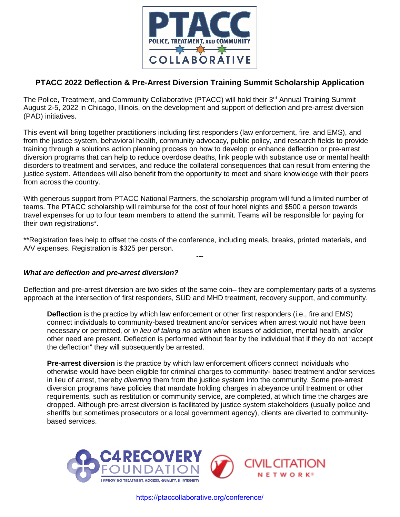

### **PTACC 2022 Deflection & Pre-Arrest Diversion Training Summit Scholarship Application**

The Police, Treatment, and Community Collaborative (PTACC) will hold their 3<sup>rd</sup> Annual Training Summit August 2-5, 2022 in Chicago, Illinois, on the development and support of deflection and pre-arrest diversion (PAD) initiatives.

This event will bring together practitioners including first responders (law enforcement, fire, and EMS), and from the justice system, behavioral health, community advocacy, public policy, and research fields to provide training through a solutions action planning process on how to develop or enhance deflection or pre-arrest diversion programs that can help to reduce overdose deaths, link people with substance use or mental health disorders to treatment and services, and reduce the collateral consequences that can result from entering the justice system. Attendees will also benefit from the opportunity to meet and share knowledge with their peers from across the country.

With generous support from PTACC National Partners, the scholarship program will fund a limited number of teams. The PTACC scholarship will reimburse for the cost of four hotel nights and \$500 a person towards travel expenses for up to four team members to attend the summit. Teams will be responsible for paying for their own registrations\*.

\*\*Registration fees help to offset the costs of the conference, including meals, breaks, printed materials, and A/V expenses. Registration is \$325 per person.

**---**

#### *What are deflection and pre-arrest diversion?*

Deflection and pre-arrest diversion are two sides of the same coin — they are complementary parts of a systems approach at the intersection of first responders, SUD and MHD treatment, recovery support, and community.

**Deflection** is the practice by which law enforcement or other first responders (i.e., fire and EMS) connect individuals to community-based treatment and/or services when arrest would not have been necessary or permitted, or *in lieu of taking no action* when issues of addiction, mental health, and/or other need are present. Deflection is performed without fear by the individual that if they do not "accept the deflection" they will subsequently be arrested.

**Pre-arrest diversion** is the practice by which law enforcement officers connect individuals who otherwise would have been eligible for criminal charges to community- based treatment and/or services in lieu of arrest, thereby *diverting* them from the justice system into the community. Some pre-arrest diversion programs have policies that mandate holding charges in abeyance until treatment or other requirements, such as restitution or community service, are completed, at which time the charges are dropped. Although pre-arrest diversion is facilitated by justice system stakeholders (usually police and sheriffs but sometimes prosecutors or a local government agency), clients are diverted to communitybased services.



https://ptaccollaborative.org/conference/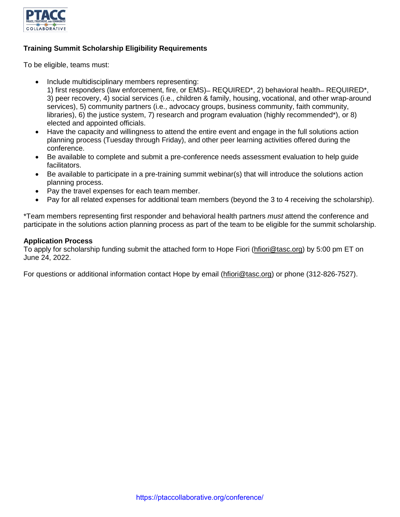

#### **Training Summit Scholarship Eligibility Requirements**

To be eligible, teams must:

- Include multidisciplinary members representing:
	- 1) first responders (law enforcement, fire, or EMS) REQUIRED<sup>\*</sup>, 2) behavioral health REQUIRED<sup>\*</sup>, 3) peer recovery, 4) social services (i.e., children & family, housing, vocational, and other wrap-around services), 5) community partners (i.e., advocacy groups, business community, faith community, libraries), 6) the justice system, 7) research and program evaluation (highly recommended\*), or 8) elected and appointed officials.
- Have the capacity and willingness to attend the entire event and engage in the full solutions action planning process (Tuesday through Friday), and other peer learning activities offered during the conference.
- Be available to complete and submit a pre-conference needs assessment evaluation to help guide facilitators.
- Be available to participate in a pre-training summit webinar(s) that will introduce the solutions action planning process.
- Pay the travel expenses for each team member.
- Pay for all related expenses for additional team members (beyond the 3 to 4 receiving the scholarship).

\*Team members representing first responder and behavioral health partners *must* attend the conference and participate in the solutions action planning process as part of the team to be eligible for the summit scholarship.

#### **Application Process**

To apply for scholarship funding submit the attached form to Hope Fiori [\(hfiori@tasc.org\)](mailto:hfiori@tasc.org) by 5:00 pm ET on June 24, 2022.

For questions or additional information contact Hope by email [\(hfiori@tasc.org\)](mailto:hfiori@tasc.org) or phone (312-826-7527).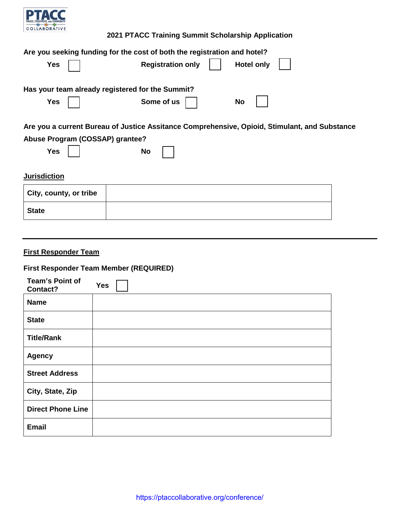

### **2021 PTACC Training Summit Scholarship Application**

| <b>Yes</b>                      | Are you seeking funding for the cost of both the registration and hotel?<br><b>Registration only</b> | <b>Hotel only</b>                                                                             |
|---------------------------------|------------------------------------------------------------------------------------------------------|-----------------------------------------------------------------------------------------------|
|                                 | Has your team already registered for the Summit?                                                     |                                                                                               |
| <b>Yes</b>                      | Some of us                                                                                           | No                                                                                            |
|                                 |                                                                                                      | Are you a current Bureau of Justice Assitance Comprehensive, Opioid, Stimulant, and Substance |
| Abuse Program (COSSAP) grantee? |                                                                                                      |                                                                                               |
| <b>Yes</b>                      | No                                                                                                   |                                                                                               |
| <b>Jurisdiction</b>             |                                                                                                      |                                                                                               |
| City, county, or tribe          |                                                                                                      |                                                                                               |
| <b>State</b>                    |                                                                                                      |                                                                                               |
|                                 |                                                                                                      |                                                                                               |

# **First Responder Team**

# **First Responder Team Member (REQUIRED)**

| <b>Team's Point of</b><br>Contact? | <b>Yes</b> |
|------------------------------------|------------|
| <b>Name</b>                        |            |
| <b>State</b>                       |            |
| <b>Title/Rank</b>                  |            |
| <b>Agency</b>                      |            |
| <b>Street Address</b>              |            |
| City, State, Zip                   |            |
| <b>Direct Phone Line</b>           |            |
| <b>Email</b>                       |            |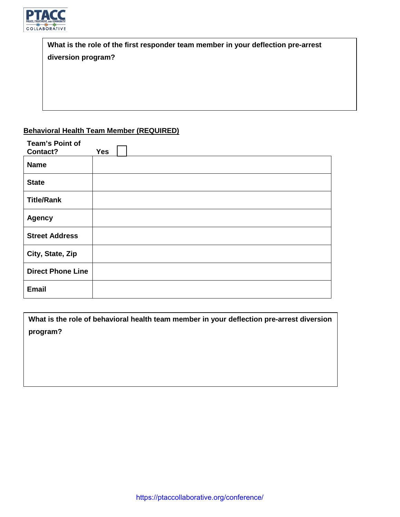

| What is the role of the first responder team member in your deflection pre-arrest |  |  |
|-----------------------------------------------------------------------------------|--|--|
| diversion program?                                                                |  |  |
|                                                                                   |  |  |

# **Behavioral Health Team Member (REQUIRED)**

| <b>Team's Point of</b><br>Contact? | <b>Yes</b> |
|------------------------------------|------------|
|                                    |            |
| <b>Name</b>                        |            |
| <b>State</b>                       |            |
| <b>Title/Rank</b>                  |            |
| <b>Agency</b>                      |            |
| <b>Street Address</b>              |            |
| City, State, Zip                   |            |
| <b>Direct Phone Line</b>           |            |
| <b>Email</b>                       |            |

**What is the role of behavioral health team member in your deflection pre-arrest diversion program?**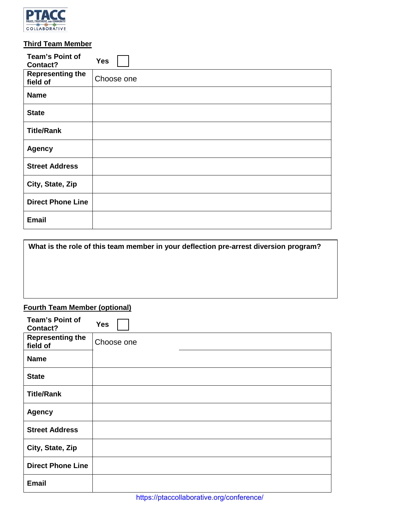

# **Third Team Member**

| <b>Team's Point of</b><br>Contact?                                                    | <b>Yes</b> |  |
|---------------------------------------------------------------------------------------|------------|--|
| <b>Representing the</b><br>field of                                                   | Choose one |  |
| <b>Name</b>                                                                           |            |  |
| <b>State</b>                                                                          |            |  |
| <b>Title/Rank</b>                                                                     |            |  |
| <b>Agency</b>                                                                         |            |  |
| <b>Street Address</b>                                                                 |            |  |
| City, State, Zip                                                                      |            |  |
| <b>Direct Phone Line</b>                                                              |            |  |
| <b>Email</b>                                                                          |            |  |
| What is the role of this team member in your deflection pre-arrest diversion program? |            |  |
|                                                                                       |            |  |
| <b>Fourth Team Member (optional)</b>                                                  |            |  |
| <b>Team's Point of</b><br><b>Contact?</b>                                             | <b>Yes</b> |  |
| <b>Representing the</b><br>fiald af                                                   | Choose one |  |

| What is the role of this team member in your deflection pre-arrest diversion program? |
|---------------------------------------------------------------------------------------|
|                                                                                       |
|                                                                                       |
|                                                                                       |
|                                                                                       |
| <b>Fourth Team Member (ontional)</b>                                                  |

### **Fourth Team Member (optional)**

| <b>Team's Point of</b><br>Contact?  | <b>Yes</b> |
|-------------------------------------|------------|
| <b>Representing the</b><br>field of | Choose one |
| <b>Name</b>                         |            |
| <b>State</b>                        |            |
| <b>Title/Rank</b>                   |            |
| <b>Agency</b>                       |            |
| <b>Street Address</b>               |            |
| City, State, Zip                    |            |
| <b>Direct Phone Line</b>            |            |
| <b>Email</b>                        |            |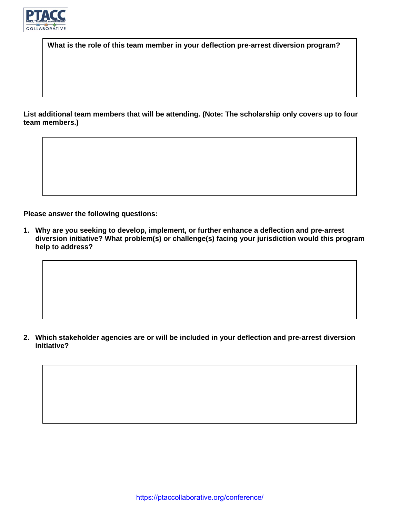

**What is the role of this team member in your deflection pre-arrest diversion program?**

**List additional team members that will be attending. (Note: The scholarship only covers up to four team members.)**

**Please answer the following questions:**

**1. Why are you seeking to develop, implement, or further enhance a deflection and pre-arrest diversion initiative? What problem(s) or challenge(s) facing your jurisdiction would this program help to address?**

**2. Which stakeholder agencies are or will be included in your deflection and pre-arrest diversion initiative?**